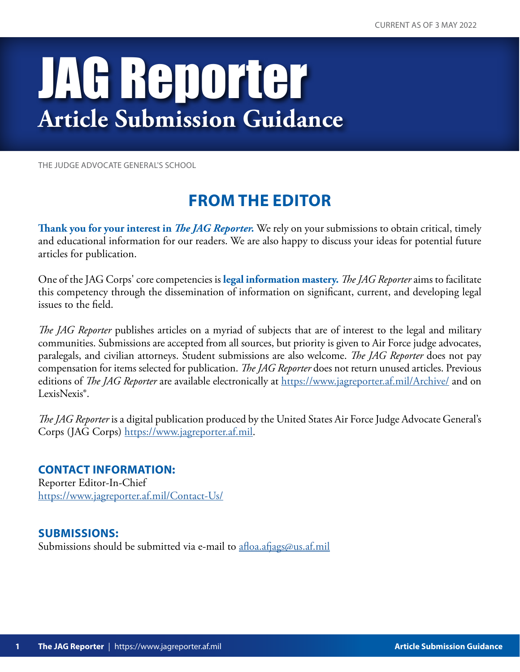# JAG Reporter **Article Submission Guidance**

THE JUDGE ADVOCATE GENERAL'S SCHOOL

### **FROM THE EDITOR**

**Thank you for your interest in** *The JAG Reporter.* We rely on your submissions to obtain critical, timely and educational information for our readers. We are also happy to discuss your ideas for potential future articles for publication.

One of the JAG Corps' core competencies is **legal information mastery.** *The JAG Reporter* aims to facilitate this competency through the dissemination of information on significant, current, and developing legal issues to the field.

*The JAG Reporter* publishes articles on a myriad of subjects that are of interest to the legal and military communities. Submissions are accepted from all sources, but priority is given to Air Force judge advocates, paralegals, and civilian attorneys. Student submissions are also welcome. *The JAG Reporter* does not pay compensation for items selected for publication. *The JAG Reporter* does not return unused articles. Previous editions of *The JAG Reporter* are available electronically at<https://www.jagreporter.af.mil/Archive/> and on LexisNexis®.

*The JAG Reporter* is a digital publication produced by the United States Air Force Judge Advocate General's Corps (JAG Corps) [https://www.jagreporter.af.mil.](https://www.jagreporter.af.mil)

**CONTACT INFORMATION:** Reporter Editor-In-Chief <https://www.jagreporter.af.mil/Contact-Us/>

**SUBMISSIONS:**

Submissions should be submitted via e-mail to [afloa.afjags@us.af.mil](mailto:afloa.afjags%40us.af.mil?subject=Attn%3A%20Reporter%20Editor)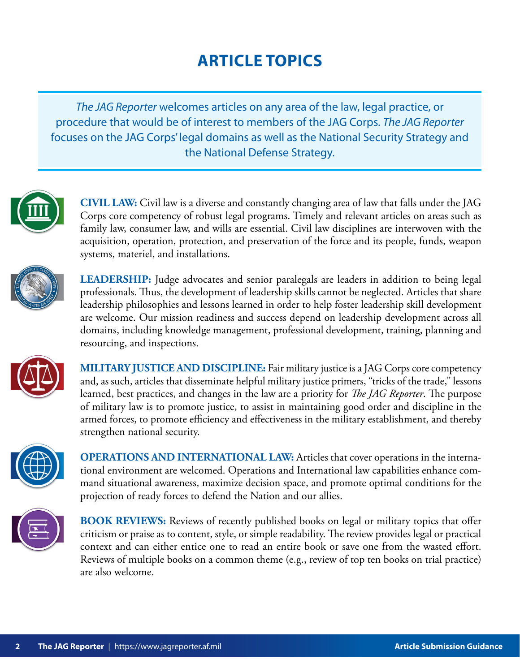## **ARTICLE TOPICS**

*The JAG Reporter* welcomes articles on any area of the law, legal practice, or procedure that would be of interest to members of the JAG Corps. *The JAG Reporter*  focuses on the JAG Corps' legal domains as well as the National Security Strategy and the National Defense Strategy.



**CIVIL LAW:** Civil law is a diverse and constantly changing area of law that falls under the JAG Corps core competency of robust legal programs. Timely and relevant articles on areas such as family law, consumer law, and wills are essential. Civil law disciplines are interwoven with the acquisition, operation, protection, and preservation of the force and its people, funds, weapon systems, materiel, and installations.



**LEADERSHIP:** Judge advocates and senior paralegals are leaders in addition to being legal professionals. Thus, the development of leadership skills cannot be neglected. Articles that share leadership philosophies and lessons learned in order to help foster leadership skill development are welcome. Our mission readiness and success depend on leadership development across all domains, including knowledge management, professional development, training, planning and resourcing, and inspections.



**MILITARY JUSTICE AND DISCIPLINE:** Fair military justice is a JAG Corps core competency and, as such, articles that disseminate helpful military justice primers, "tricks of the trade," lessons learned, best practices, and changes in the law are a priority for *The JAG Reporter*. The purpose of military law is to promote justice, to assist in maintaining good order and discipline in the armed forces, to promote efficiency and effectiveness in the military establishment, and thereby strengthen national security.



**OPERATIONS AND INTERNATIONAL LAW:** Articles that cover operations in the international environment are welcomed. Operations and International law capabilities enhance command situational awareness, maximize decision space, and promote optimal conditions for the projection of ready forces to defend the Nation and our allies.



**BOOK REVIEWS:** Reviews of recently published books on legal or military topics that offer criticism or praise as to content, style, or simple readability. The review provides legal or practical context and can either entice one to read an entire book or save one from the wasted effort. Reviews of multiple books on a common theme (e.g., review of top ten books on trial practice) are also welcome.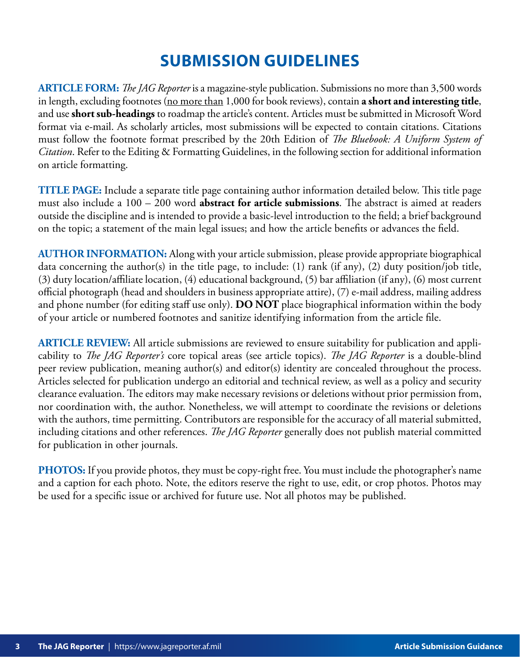### **SUBMISSION GUIDELINES**

**ARTICLE FORM:** *The JAG Reporter* is a magazine-style publication. Submissions no more than 3,500 words in length, excluding footnotes (no more than 1,000 for book reviews), contain **a short and interesting title**, and use **short sub-headings** to roadmap the article's content. Articles must be submitted in Microsoft Word format via e-mail. As scholarly articles, most submissions will be expected to contain citations. Citations must follow the footnote format prescribed by the 20th Edition of *The Bluebook: A Uniform System of Citation*. Refer to the Editing & Formatting Guidelines, in the following section for additional information on article formatting.

**TITLE PAGE:** Include a separate title page containing author information detailed below. This title page must also include a 100 – 200 word **abstract for article submissions**. The abstract is aimed at readers outside the discipline and is intended to provide a basic-level introduction to the field; a brief background on the topic; a statement of the main legal issues; and how the article benefits or advances the field.

**AUTHOR INFORMATION:** Along with your article submission, please provide appropriate biographical data concerning the author(s) in the title page, to include: (1) rank (if any), (2) duty position/job title, (3) duty location/affiliate location, (4) educational background, (5) bar affiliation (if any), (6) most current official photograph (head and shoulders in business appropriate attire), (7) e-mail address, mailing address and phone number (for editing staff use only). **DO NOT** place biographical information within the body of your article or numbered footnotes and sanitize identifying information from the article file.

**ARTICLE REVIEW:** All article submissions are reviewed to ensure suitability for publication and applicability to *The JAG Reporter's* core topical areas (see article topics). *The JAG Reporter* is a double-blind peer review publication, meaning author(s) and editor(s) identity are concealed throughout the process. Articles selected for publication undergo an editorial and technical review, as well as a policy and security clearance evaluation. The editors may make necessary revisions or deletions without prior permission from, nor coordination with, the author. Nonetheless, we will attempt to coordinate the revisions or deletions with the authors, time permitting. Contributors are responsible for the accuracy of all material submitted, including citations and other references. *The JAG Reporter* generally does not publish material committed for publication in other journals.

**PHOTOS:** If you provide photos, they must be copy-right free. You must include the photographer's name and a caption for each photo. Note, the editors reserve the right to use, edit, or crop photos. Photos may be used for a specific issue or archived for future use. Not all photos may be published.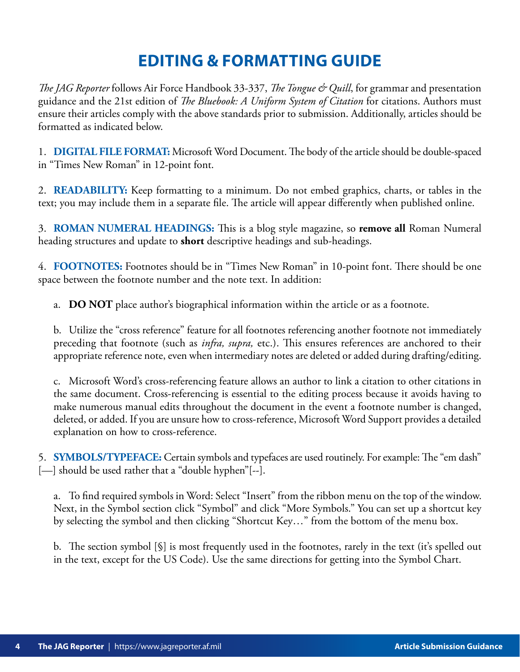### **EDITING & FORMATTING GUIDE**

*The JAG Reporter* follows Air Force Handbook 33-337, *The Tongue & Quill*, for grammar and presentation guidance and the 21st edition of *The Bluebook: A Uniform System of Citation* for citations. Authors must ensure their articles comply with the above standards prior to submission. Additionally, articles should be formatted as indicated below.

1. **DIGITAL FILE FORMAT:** Microsoft Word Document. The body of the article should be double-spaced in "Times New Roman" in 12-point font.

2. **READABILITY:** Keep formatting to a minimum. Do not embed graphics, charts, or tables in the text; you may include them in a separate file. The article will appear differently when published online.

3. **ROMAN NUMERAL HEADINGS:** This is a blog style magazine, so **remove all** Roman Numeral heading structures and update to **short** descriptive headings and sub-headings.

4. **FOOTNOTES:** Footnotes should be in "Times New Roman" in 10-point font. There should be one space between the footnote number and the note text. In addition:

a. **DO NOT** place author's biographical information within the article or as a footnote.

b. Utilize the "cross reference" feature for all footnotes referencing another footnote not immediately preceding that footnote (such as *infra, supra,* etc.). This ensures references are anchored to their appropriate reference note, even when intermediary notes are deleted or added during drafting/editing.

c. Microsoft Word's cross-referencing feature allows an author to link a citation to other citations in the same document. Cross-referencing is essential to the editing process because it avoids having to make numerous manual edits throughout the document in the event a footnote number is changed, deleted, or added. If you are unsure how to cross-reference, Microsoft Word Support provides a detailed explanation on how to cross-reference.

5. **SYMBOLS/TYPEFACE:** Certain symbols and typefaces are used routinely. For example: The "em dash" [--] should be used rather that a "double hyphen"[--].

a. To find required symbols in Word: Select "Insert" from the ribbon menu on the top of the window. Next, in the Symbol section click "Symbol" and click "More Symbols." You can set up a shortcut key by selecting the symbol and then clicking "Shortcut Key…" from the bottom of the menu box.

b. The section symbol [§] is most frequently used in the footnotes, rarely in the text (it's spelled out in the text, except for the US Code). Use the same directions for getting into the Symbol Chart.